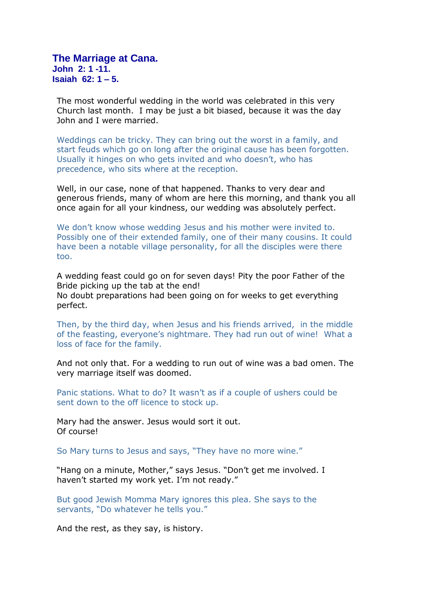## **The Marriage at Cana. John 2: 1 -11. Isaiah 62: 1 – 5.**

The most wonderful wedding in the world was celebrated in this very Church last month. I may be just a bit biased, because it was the day John and I were married.

Weddings can be tricky. They can bring out the worst in a family, and start feuds which go on long after the original cause has been forgotten. Usually it hinges on who gets invited and who doesn't, who has precedence, who sits where at the reception.

Well, in our case, none of that happened. Thanks to very dear and generous friends, many of whom are here this morning, and thank you all once again for all your kindness, our wedding was absolutely perfect.

We don't know whose wedding Jesus and his mother were invited to. Possibly one of their extended family, one of their many cousins. It could have been a notable village personality, for all the disciples were there too.

A wedding feast could go on for seven days! Pity the poor Father of the Bride picking up the tab at the end! No doubt preparations had been going on for weeks to get everything perfect.

Then, by the third day, when Jesus and his friends arrived, in the middle of the feasting, everyone's nightmare. They had run out of wine! What a loss of face for the family.

And not only that. For a wedding to run out of wine was a bad omen. The very marriage itself was doomed.

Panic stations. What to do? It wasn't as if a couple of ushers could be sent down to the off licence to stock up.

Mary had the answer. Jesus would sort it out. Of course!

So Mary turns to Jesus and says, "They have no more wine."

"Hang on a minute, Mother," says Jesus. "Don't get me involved. I haven't started my work yet. I'm not ready."

But good Jewish Momma Mary ignores this plea. She says to the servants, "Do whatever he tells you."

And the rest, as they say, is history.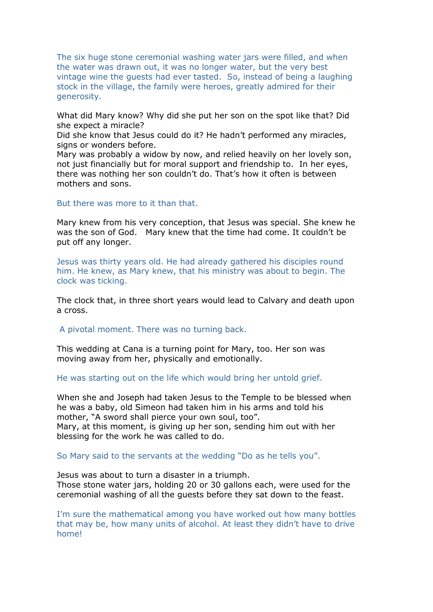The six huge stone ceremonial washing water jars were filled, and when the water was drawn out, it was no longer water, but the very best vintage wine the guests had ever tasted. So, instead of being a laughing stock in the village, the family were heroes, greatly admired for their generosity.

What did Mary know? Why did she put her son on the spot like that? Did she expect a miracle?

Did she know that Jesus could do it? He hadn't performed any miracles, signs or wonders before.

Mary was probably a widow by now, and relied heavily on her lovely son, not just financially but for moral support and friendship to. In her eyes, there was nothing her son couldn't do. That's how it often is between mothers and sons.

But there was more to it than that.

Mary knew from his very conception, that Jesus was special. She knew he was the son of God. Mary knew that the time had come. It couldn't be put off any longer.

Jesus was thirty years old. He had already gathered his disciples round him. He knew, as Mary knew, that his ministry was about to begin. The clock was ticking.

The clock that, in three short years would lead to Calvary and death upon a cross.

A pivotal moment. There was no turning back.

This wedding at Cana is a turning point for Mary, too. Her son was moving away from her, physically and emotionally.

He was starting out on the life which would bring her untold grief.

When she and Joseph had taken Jesus to the Temple to be blessed when he was a baby, old Simeon had taken him in his arms and told his mother, "A sword shall pierce your own soul, too". Mary, at this moment, is giving up her son, sending him out with her blessing for the work he was called to do.

So Mary said to the servants at the wedding "Do as he tells you".

Jesus was about to turn a disaster in a triumph. Those stone water jars, holding 20 or 30 gallons each, were used for the ceremonial washing of all the guests before they sat down to the feast.

I'm sure the mathematical among you have worked out how many bottles that may be, how many units of alcohol. At least they didn't have to drive home!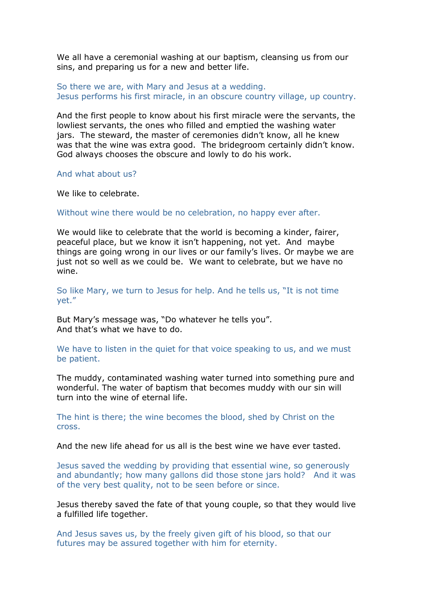We all have a ceremonial washing at our baptism, cleansing us from our sins, and preparing us for a new and better life.

So there we are, with Mary and Jesus at a wedding. Jesus performs his first miracle, in an obscure country village, up country.

And the first people to know about his first miracle were the servants, the lowliest servants, the ones who filled and emptied the washing water jars. The steward, the master of ceremonies didn't know, all he knew was that the wine was extra good. The bridegroom certainly didn't know. God always chooses the obscure and lowly to do his work.

And what about us?

We like to celebrate.

Without wine there would be no celebration, no happy ever after.

We would like to celebrate that the world is becoming a kinder, fairer, peaceful place, but we know it isn't happening, not yet. And maybe things are going wrong in our lives or our family's lives. Or maybe we are just not so well as we could be. We want to celebrate, but we have no wine.

So like Mary, we turn to Jesus for help. And he tells us, "It is not time yet."

But Mary's message was, "Do whatever he tells you". And that's what we have to do.

We have to listen in the quiet for that voice speaking to us, and we must be patient.

The muddy, contaminated washing water turned into something pure and wonderful. The water of baptism that becomes muddy with our sin will turn into the wine of eternal life.

The hint is there; the wine becomes the blood, shed by Christ on the cross.

And the new life ahead for us all is the best wine we have ever tasted.

Jesus saved the wedding by providing that essential wine, so generously and abundantly; how many gallons did those stone jars hold? And it was of the very best quality, not to be seen before or since.

Jesus thereby saved the fate of that young couple, so that they would live a fulfilled life together.

And Jesus saves us, by the freely given gift of his blood, so that our futures may be assured together with him for eternity.